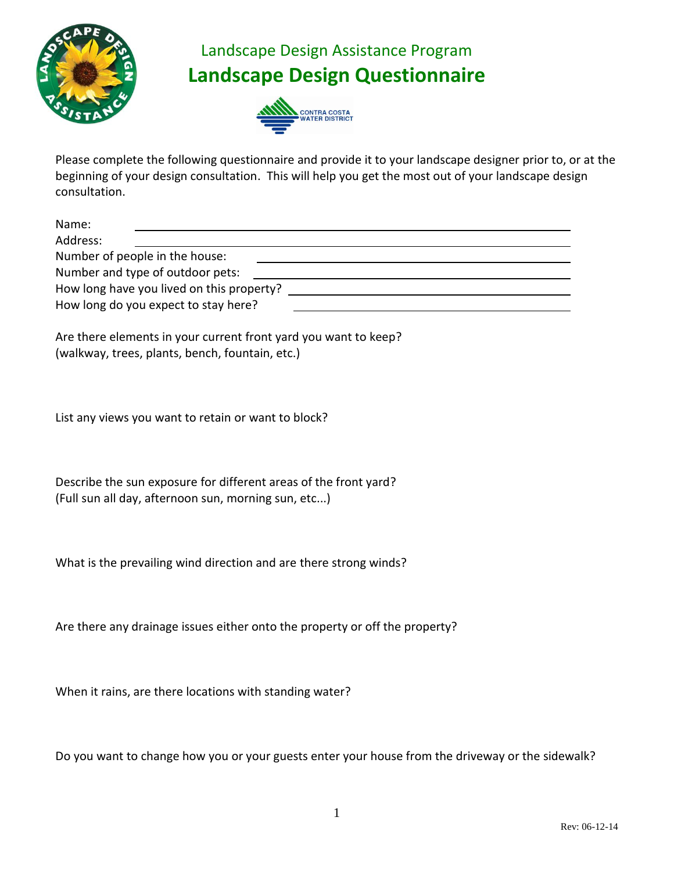

## Landscape Design Assistance Program **Landscape Design Questionnaire**



Please complete the following questionnaire and provide it to your landscape designer prior to, or at the beginning of your design consultation. This will help you get the most out of your landscape design consultation.

| Name:                                     |  |
|-------------------------------------------|--|
| Address:                                  |  |
| Number of people in the house:            |  |
| Number and type of outdoor pets:          |  |
| How long have you lived on this property? |  |
| How long do you expect to stay here?      |  |
|                                           |  |

Are there elements in your current front yard you want to keep? (walkway, trees, plants, bench, fountain, etc.)

List any views you want to retain or want to block?

Describe the sun exposure for different areas of the front yard? (Full sun all day, afternoon sun, morning sun, etc...)

What is the prevailing wind direction and are there strong winds?

Are there any drainage issues either onto the property or off the property?

When it rains, are there locations with standing water?

Do you want to change how you or your guests enter your house from the driveway or the sidewalk?